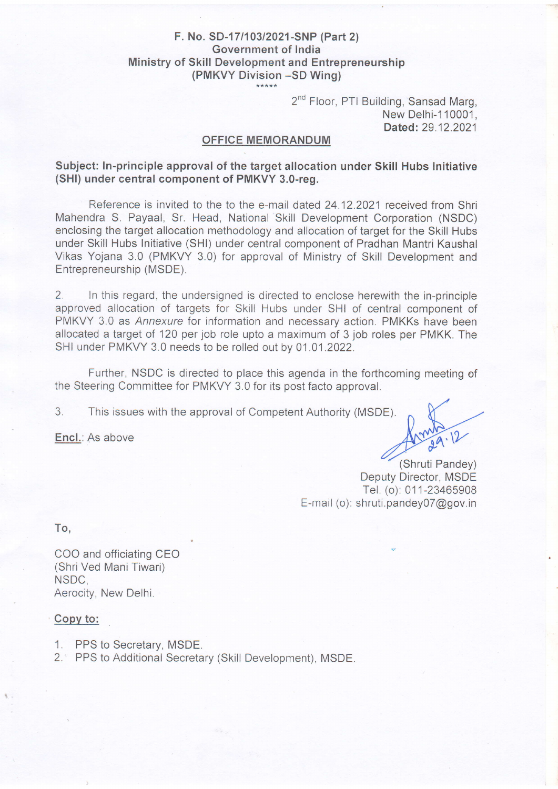## F. No. SD-17/103/2021-SNP (Part 2) Government of India Ministry of Skill Development and Entrepreneurship (PMKVY Division -SD Wing)

2<sup>nd</sup> Floor, PTI Building, Sansad Marg, New Delhi-1 10001 , Dated: 29.12.2021

## OFFICE MEMORANDUM

Subject: ln-principle approval of the target allocation under Skill Hubs Initiative (SHl) under central component of PMKVY 3.0-reg.

Reference is invited to the to the e-mail dated 24.12.2021 received from Shri Mahendra S. Payaal, Sr. Head, National Skill Development Corporation (NSDC) enclosing the target allocation methodology and allocation of target for the Skill Hubs under Skill Hubs Initiative (SHl) under central component of Pradhan Mantri Kaushal Vikas Yojana 3.0 (PMKVY 3.0) for approval of Ministry of Skill Development and Entrepreneurship (MSDE).

2. In this regard, the undersigned is directed to enclose herewith the in-principle approved allocation of targets for Skill Hubs under SHI of central component of PMKVY 3.0 as Annexure for information and necessary action. PMKKs have been allocated a target of 120 per job role upto a maximum of 3 job roles per PMKK. The SHI under PMKVY 3.0 needs to be rolled out by 01.01 .2022.

Further, NSDC is directed to place this agenda in the forthcoming meeting of the Steering Committee for PMKVY 3.0 for its post facto approval.

3. This issues with the approval of Competent Authority (MSDE).

Encl.: As above

(Shruti Pandey) Deputy Director, MSDE Tel. (o): 011-23465908 E-mail (o): shruti.pandeyOT@gov.in

To,

COO and officiating CEO (Shri Ved Mani Tiwari) NSDC, Aerocity, New Delhi.

## Copv to:

- 1. PPS to Secretary, MSDE.
- 2.' PPS to Additional Secretary (Skill Development), MSDE.